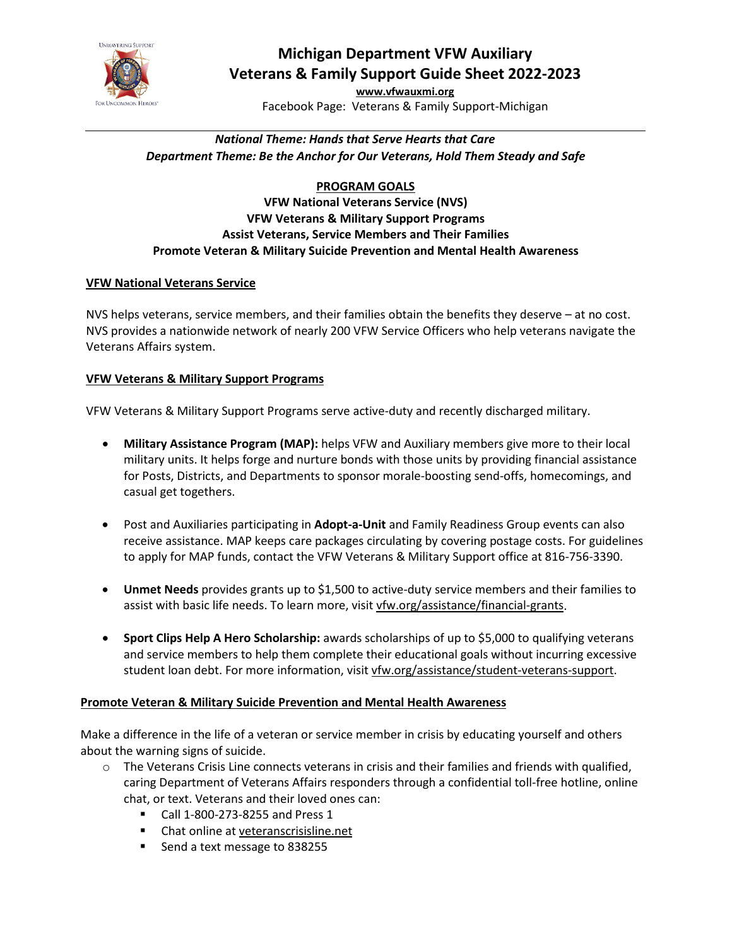

# **Michigan Department VFW Auxiliary Veterans & Family Support Guide Sheet 2022-2023**

**[www.vfwauxmi.org](http://www.vfwauxmi.org/)** Facebook Page: Veterans & Family Support-Michigan

# *National Theme: Hands that Serve Hearts that Care Department Theme: Be the Anchor for Our Veterans, Hold Them Steady and Safe*

# **PROGRAM GOALS**

### **VFW National Veterans Service (NVS) VFW Veterans & Military Support Programs Assist Veterans, Service Members and Their Families Promote Veteran & Military Suicide Prevention and Mental Health Awareness**

## **VFW National Veterans Service**

NVS helps veterans, service members, and their families obtain the benefits they deserve – at no cost. NVS provides a nationwide network of nearly 200 VFW Service Officers who help veterans navigate the Veterans Affairs system.

### **VFW Veterans & Military Support Programs**

VFW Veterans & Military Support Programs serve active-duty and recently discharged military.

- **Military Assistance Program (MAP):** helps VFW and Auxiliary members give more to their local military units. It helps forge and nurture bonds with those units by providing financial assistance for Posts, Districts, and Departments to sponsor morale-boosting send-offs, homecomings, and casual get togethers.
- Post and Auxiliaries participating in **Adopt-a-Unit** and Family Readiness Group events can also receive assistance. MAP keeps care packages circulating by covering postage costs. For guidelines to apply for MAP funds, contact the VFW Veterans & Military Support office at 816-756-3390.
- **Unmet Needs** provides grants up to \$1,500 to active-duty service members and their families to assist with basic life needs. To learn more, visit [vfw.org/assistance/financial-grants.](http://www.vfw.org/assistance/financial-grants)
- **Sport Clips Help A Hero Scholarship:** awards scholarships of up to \$5,000 to qualifying veterans and service members to help them complete their educational goals without incurring excessive student loan debt. For more information, visit vfw.org/assistance/student-veterans-support.

## **Promote Veteran & Military Suicide Prevention and Mental Health Awareness**

Make a difference in the life of a veteran or service member in crisis by educating yourself and others about the warning signs of suicide.

- $\circ$  The Veterans Crisis Line connects veterans in crisis and their families and friends with qualified, caring Department of Veterans Affairs responders through a confidential toll-free hotline, online chat, or text. Veterans and their loved ones can:
	- Call 1-800-273-8255 and Press 1
	- Chat online at veteranscrisisline.net
	- Send a text message to 838255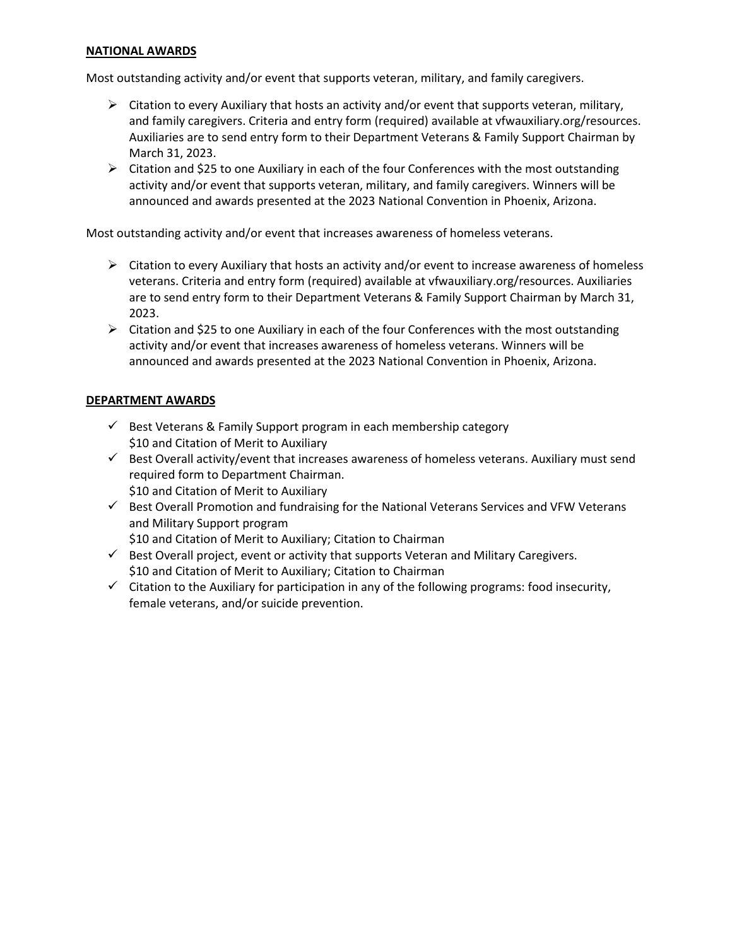#### **NATIONAL AWARDS**

Most outstanding activity and/or event that supports veteran, military, and family caregivers.

- $\triangleright$  Citation to every Auxiliary that hosts an activity and/or event that supports veteran, military, and family caregivers. Criteria and entry form (required) available at vfwauxiliary.org/resources. Auxiliaries are to send entry form to their Department Veterans & Family Support Chairman by March 31, 2023.
- $\triangleright$  Citation and \$25 to one Auxiliary in each of the four Conferences with the most outstanding activity and/or event that supports veteran, military, and family caregivers. Winners will be announced and awards presented at the 2023 National Convention in Phoenix, Arizona.

Most outstanding activity and/or event that increases awareness of homeless veterans.

- $\triangleright$  Citation to every Auxiliary that hosts an activity and/or event to increase awareness of homeless veterans. Criteria and entry form (required) available at vfwauxiliary.org/resources. Auxiliaries are to send entry form to their Department Veterans & Family Support Chairman by March 31, 2023.
- $\triangleright$  Citation and \$25 to one Auxiliary in each of the four Conferences with the most outstanding activity and/or event that increases awareness of homeless veterans. Winners will be announced and awards presented at the 2023 National Convention in Phoenix, Arizona.

#### **DEPARTMENT AWARDS**

- $\checkmark$  Best Veterans & Family Support program in each membership category \$10 and Citation of Merit to Auxiliary
- $\checkmark$  Best Overall activity/event that increases awareness of homeless veterans. Auxiliary must send required form to Department Chairman. \$10 and Citation of Merit to Auxiliary
- $\checkmark$  Best Overall Promotion and fundraising for the National Veterans Services and VFW Veterans and Military Support program

\$10 and Citation of Merit to Auxiliary; Citation to Chairman

- $\checkmark$  Best Overall project, event or activity that supports Veteran and Military Caregivers. \$10 and Citation of Merit to Auxiliary; Citation to Chairman
- $\checkmark$  Citation to the Auxiliary for participation in any of the following programs: food insecurity, female veterans, and/or suicide prevention.